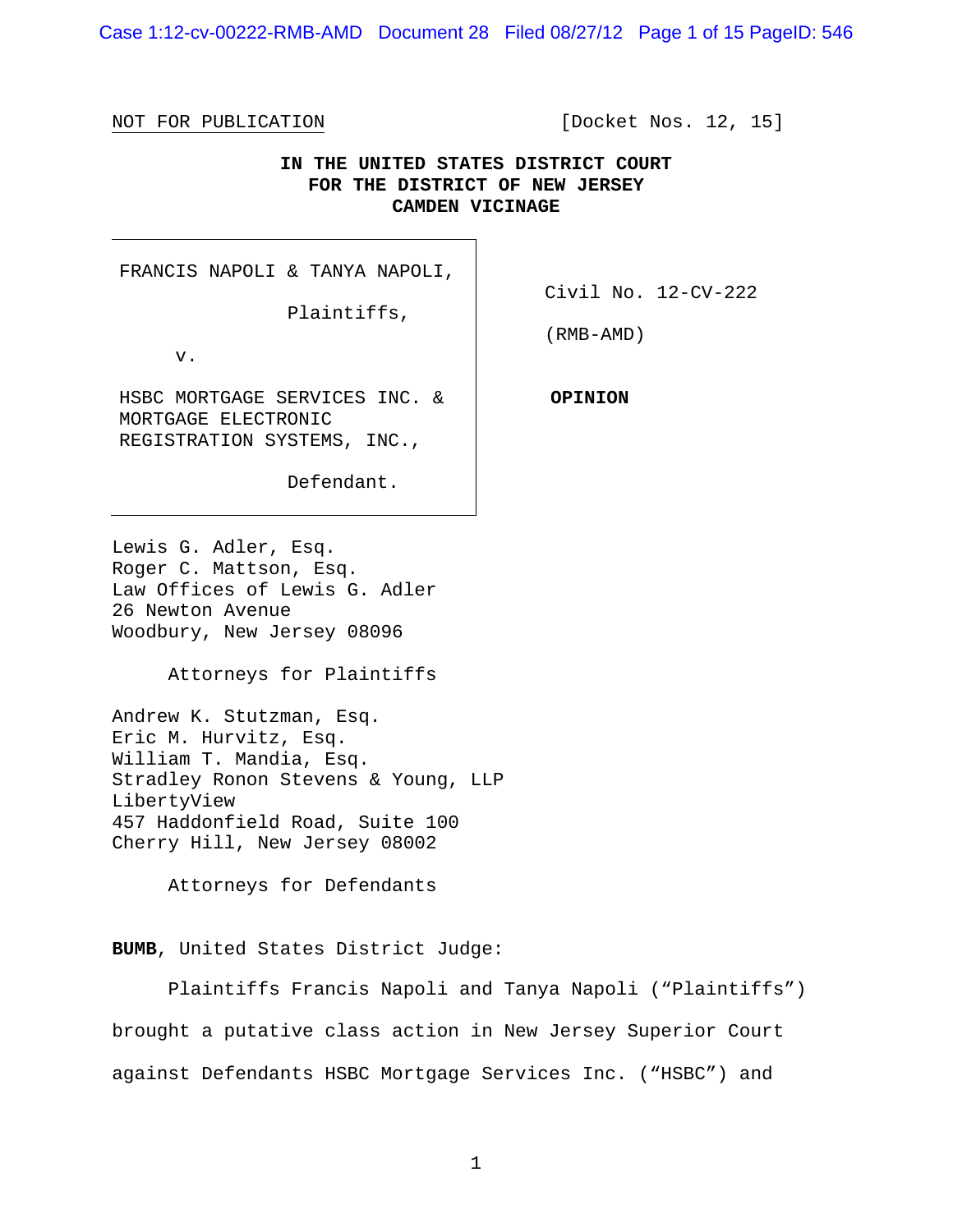Case 1:12-cv-00222-RMB-AMD Document 28 Filed 08/27/12 Page 1 of 15 PageID: 546

**IN THE UNITED STATES DISTRICT COURT FOR THE DISTRICT OF NEW JERSEY CAMDEN VICINAGE**  FRANCIS NAPOLI & TANYA NAPOLI, Plaintiffs, v. Defendant. (RMB-AMD)  **OPINION** Attorneys for Plaintiffs Attorneys for Defendants Plaintiffs Francis Napoli and Tanya Napoli ("Plaintiffs")

Civil No. 12-CV-222

HSBC MORTGAGE SERVICES INC. & MORTGAGE ELECTRONIC REGISTRATION SYSTEMS, INC.,

Lewis G. Adler, Esq. Roger C. Mattson, Esq. Law Offices of Lewis G. Adler 26 Newton Avenue Woodbury, New Jersey 08096

Andrew K. Stutzman, Esq. Eric M. Hurvitz, Esq. William T. Mandia, Esq. Stradley Ronon Stevens & Young, LLP LibertyView 457 Haddonfield Road, Suite 100 Cherry Hill, New Jersey 08002

**BUMB**, United States District Judge:

brought a putative class action in New Jersey Superior Court against Defendants HSBC Mortgage Services Inc. ("HSBC") and

NOT FOR PUBLICATION [Docket Nos. 12, 15]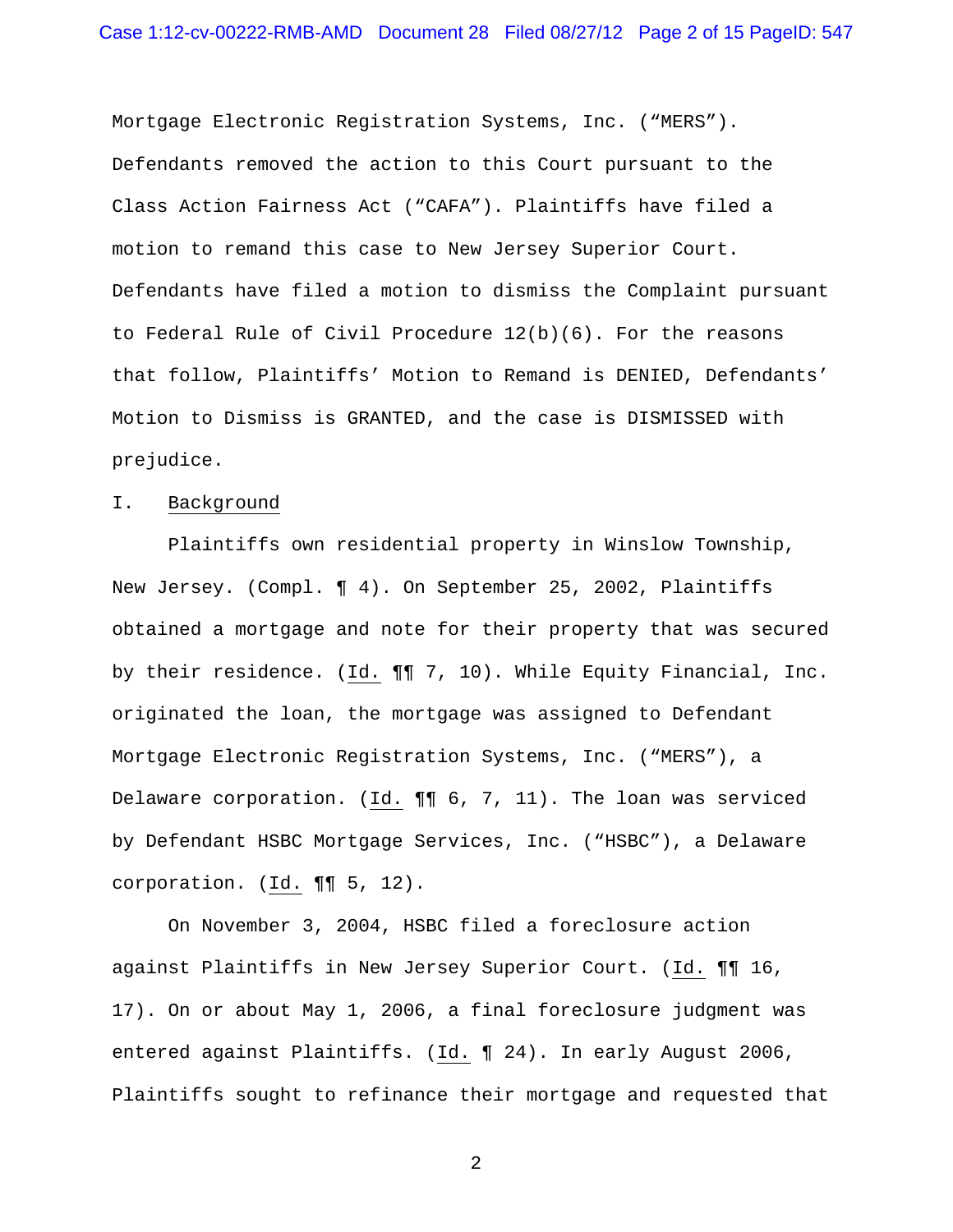Mortgage Electronic Registration Systems, Inc. ("MERS"). Defendants removed the action to this Court pursuant to the Class Action Fairness Act ("CAFA"). Plaintiffs have filed a motion to remand this case to New Jersey Superior Court. Defendants have filed a motion to dismiss the Complaint pursuant to Federal Rule of Civil Procedure 12(b)(6). For the reasons that follow, Plaintiffs' Motion to Remand is DENIED, Defendants' Motion to Dismiss is GRANTED, and the case is DISMISSED with prejudice.

#### I. Background

 Plaintiffs own residential property in Winslow Township, New Jersey. (Compl. ¶ 4). On September 25, 2002, Plaintiffs obtained a mortgage and note for their property that was secured by their residence. (Id. ¶¶ 7, 10). While Equity Financial, Inc. originated the loan, the mortgage was assigned to Defendant Mortgage Electronic Registration Systems, Inc. ("MERS"), a Delaware corporation. (Id. ¶¶ 6, 7, 11). The loan was serviced by Defendant HSBC Mortgage Services, Inc. ("HSBC"), a Delaware corporation. (Id. ¶¶ 5, 12).

 On November 3, 2004, HSBC filed a foreclosure action against Plaintiffs in New Jersey Superior Court. (Id. ¶¶ 16, 17). On or about May 1, 2006, a final foreclosure judgment was entered against Plaintiffs. (Id. ¶ 24). In early August 2006, Plaintiffs sought to refinance their mortgage and requested that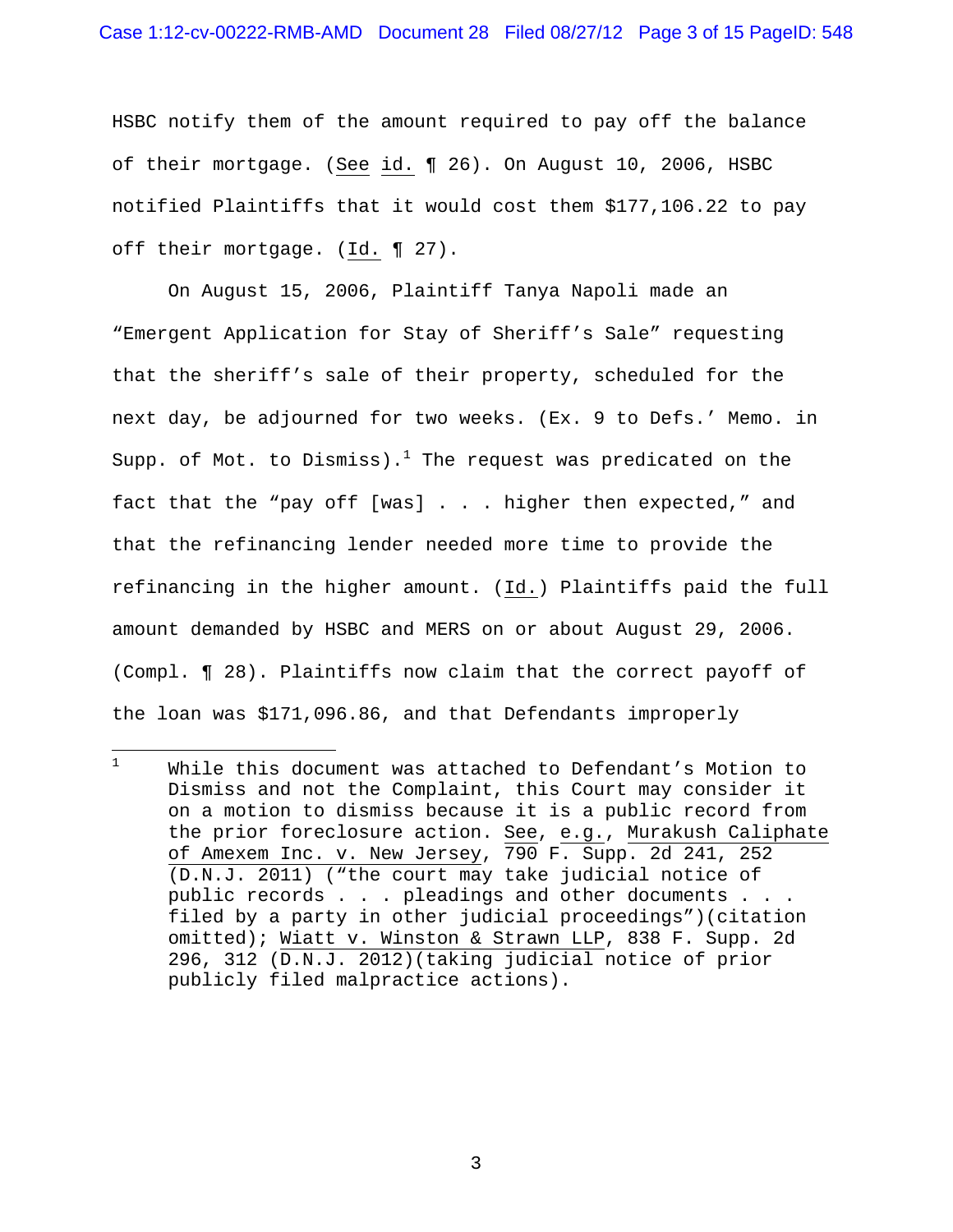HSBC notify them of the amount required to pay off the balance of their mortgage. (See id. ¶ 26). On August 10, 2006, HSBC notified Plaintiffs that it would cost them \$177,106.22 to pay off their mortgage. (Id. ¶ 27).

On August 15, 2006, Plaintiff Tanya Napoli made an "Emergent Application for Stay of Sheriff's Sale" requesting that the sheriff's sale of their property, scheduled for the next day, be adjourned for two weeks. (Ex. 9 to Defs.' Memo. in Supp. of Mot. to Dismiss). $^1$  The request was predicated on the fact that the "pay off [was] . . . higher then expected," and that the refinancing lender needed more time to provide the refinancing in the higher amount. (Id.) Plaintiffs paid the full amount demanded by HSBC and MERS on or about August 29, 2006. (Compl. ¶ 28). Plaintiffs now claim that the correct payoff of the loan was \$171,096.86, and that Defendants improperly

 $\frac{1}{1}$  While this document was attached to Defendant's Motion to Dismiss and not the Complaint, this Court may consider it on a motion to dismiss because it is a public record from the prior foreclosure action. See, e.g., Murakush Caliphate of Amexem Inc. v. New Jersey, 790 F. Supp. 2d 241, 252 (D.N.J. 2011) ("the court may take judicial notice of public records . . . pleadings and other documents . . . filed by a party in other judicial proceedings")(citation omitted); Wiatt v. Winston & Strawn LLP, 838 F. Supp. 2d 296, 312 (D.N.J. 2012)(taking judicial notice of prior publicly filed malpractice actions).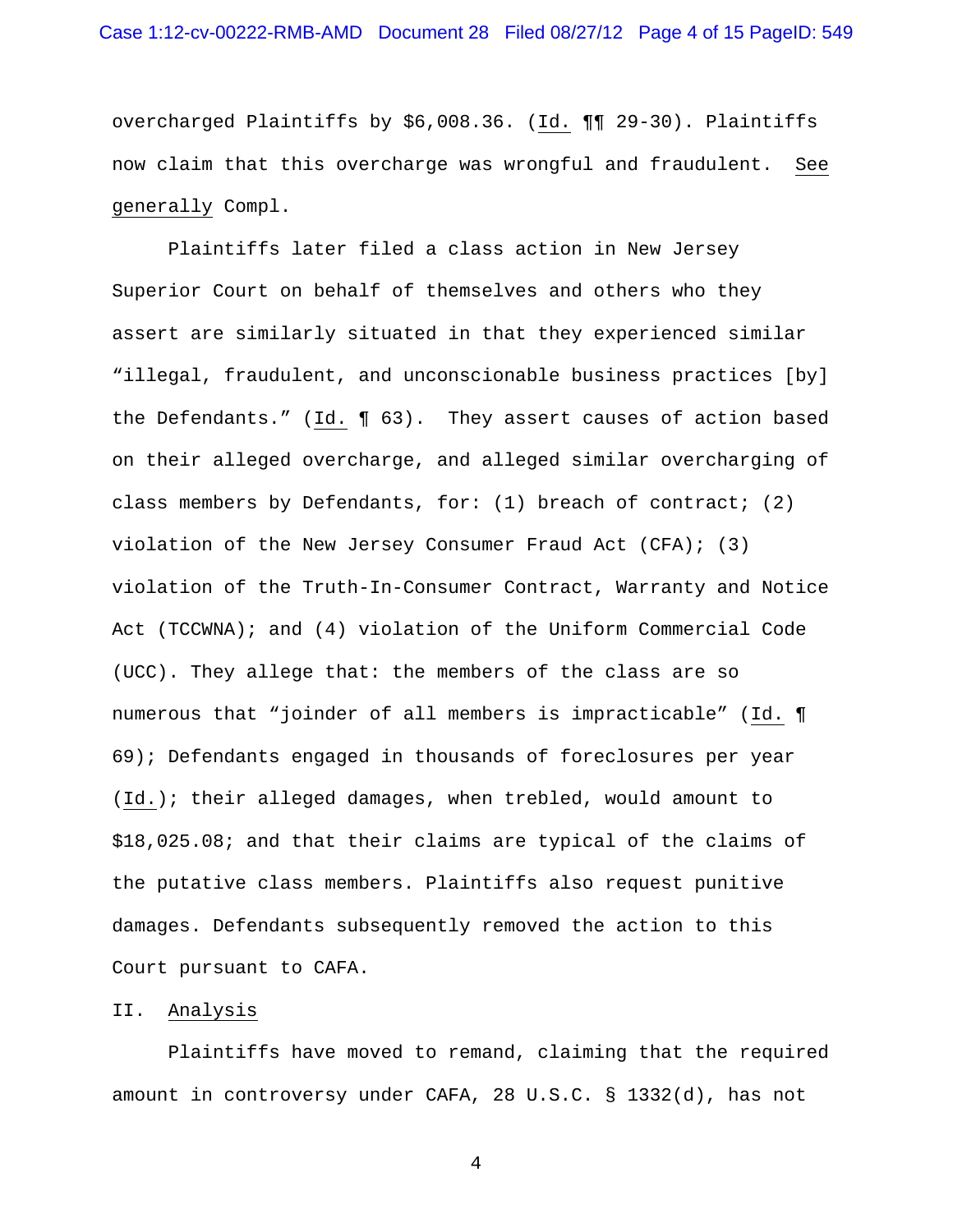overcharged Plaintiffs by \$6,008.36. (Id. ¶¶ 29-30). Plaintiffs now claim that this overcharge was wrongful and fraudulent. See generally Compl.

Plaintiffs later filed a class action in New Jersey Superior Court on behalf of themselves and others who they assert are similarly situated in that they experienced similar "illegal, fraudulent, and unconscionable business practices [by] the Defendants." (Id. ¶ 63). They assert causes of action based on their alleged overcharge, and alleged similar overcharging of class members by Defendants, for: (1) breach of contract; (2) violation of the New Jersey Consumer Fraud Act (CFA); (3) violation of the Truth-In-Consumer Contract, Warranty and Notice Act (TCCWNA); and (4) violation of the Uniform Commercial Code (UCC). They allege that: the members of the class are so numerous that "joinder of all members is impracticable" (Id. ¶ 69); Defendants engaged in thousands of foreclosures per year (Id.); their alleged damages, when trebled, would amount to \$18,025.08; and that their claims are typical of the claims of the putative class members. Plaintiffs also request punitive damages. Defendants subsequently removed the action to this Court pursuant to CAFA.

# II. Analysis

Plaintiffs have moved to remand, claiming that the required amount in controversy under CAFA, 28 U.S.C. § 1332(d), has not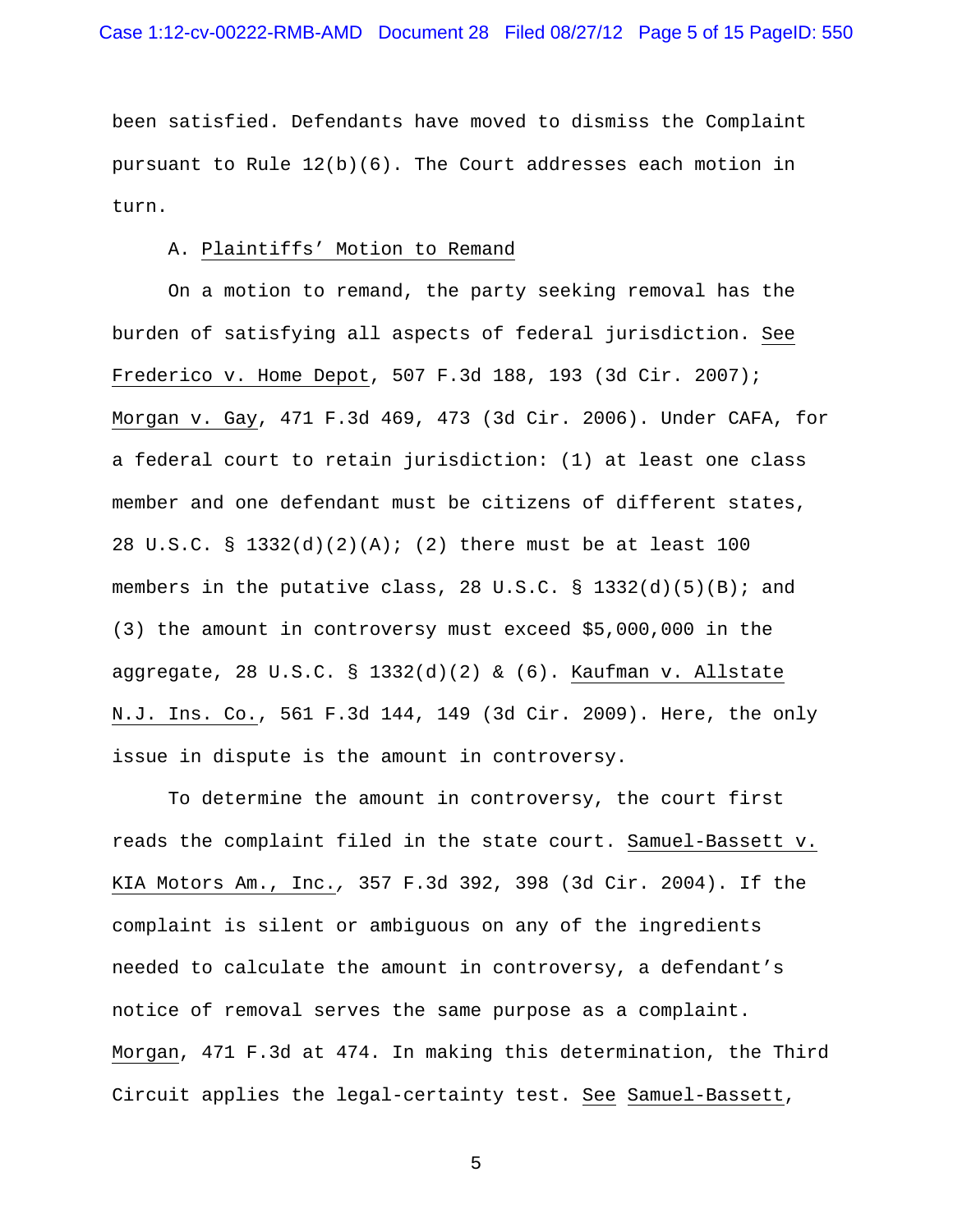been satisfied. Defendants have moved to dismiss the Complaint pursuant to Rule 12(b)(6). The Court addresses each motion in turn.

### A. Plaintiffs' Motion to Remand

On a motion to remand, the party seeking removal has the burden of satisfying all aspects of federal jurisdiction. See Frederico v. Home Depot, 507 F.3d 188, 193 (3d Cir. 2007); Morgan v. Gay, 471 F.3d 469, 473 (3d Cir. 2006). Under CAFA, for a federal court to retain jurisdiction: (1) at least one class member and one defendant must be citizens of different states, 28 U.S.C. § 1332(d)(2)(A); (2) there must be at least 100 members in the putative class, 28 U.S.C.  $\S$  1332(d)(5)(B); and (3) the amount in controversy must exceed \$5,000,000 in the aggregate, 28 U.S.C. § 1332(d)(2) & (6). Kaufman v. Allstate N.J. Ins. Co., 561 F.3d 144, 149 (3d Cir. 2009). Here, the only issue in dispute is the amount in controversy.

To determine the amount in controversy, the court first reads the complaint filed in the state court. Samuel-Bassett v. KIA Motors Am., Inc.*,* 357 F.3d 392, 398 (3d Cir. 2004). If the complaint is silent or ambiguous on any of the ingredients needed to calculate the amount in controversy, a defendant's notice of removal serves the same purpose as a complaint. Morgan, 471 F.3d at 474. In making this determination, the Third Circuit applies the legal-certainty test. See Samuel-Bassett,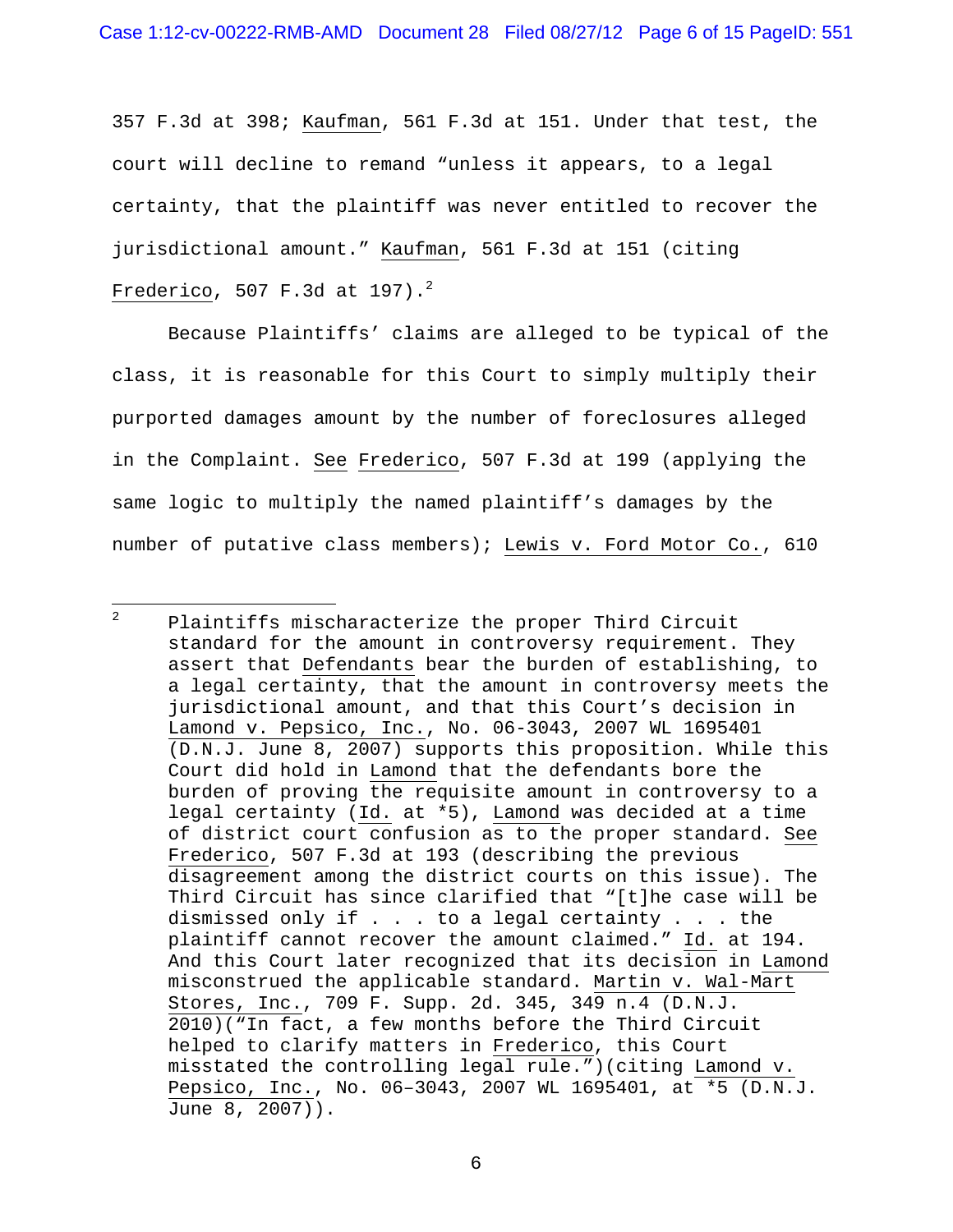357 F.3d at 398; Kaufman, 561 F.3d at 151. Under that test, the court will decline to remand "unless it appears, to a legal certainty, that the plaintiff was never entitled to recover the jurisdictional amount." Kaufman, 561 F.3d at 151 (citing Frederico, 507 F.3d at 197). $^2$ 

Because Plaintiffs' claims are alleged to be typical of the class, it is reasonable for this Court to simply multiply their purported damages amount by the number of foreclosures alleged in the Complaint. See Frederico, 507 F.3d at 199 (applying the same logic to multiply the named plaintiff's damages by the number of putative class members); Lewis v. Ford Motor Co., 610

 2 Plaintiffs mischaracterize the proper Third Circuit standard for the amount in controversy requirement. They assert that Defendants bear the burden of establishing, to a legal certainty, that the amount in controversy meets the jurisdictional amount, and that this Court's decision in Lamond v. Pepsico, Inc., No. 06-3043, 2007 WL 1695401 (D.N.J. June 8, 2007) supports this proposition. While this Court did hold in Lamond that the defendants bore the burden of proving the requisite amount in controversy to a legal certainty (Id. at \*5), Lamond was decided at a time of district court confusion as to the proper standard. See Frederico, 507 F.3d at 193 (describing the previous disagreement among the district courts on this issue). The Third Circuit has since clarified that "[t]he case will be dismissed only if . . . to a legal certainty . . . the plaintiff cannot recover the amount claimed." Id. at 194. And this Court later recognized that its decision in Lamond misconstrued the applicable standard. Martin v. Wal-Mart Stores, Inc., 709 F. Supp. 2d. 345, 349 n.4 (D.N.J. 2010)("In fact, a few months before the Third Circuit helped to clarify matters in Frederico, this Court misstated the controlling legal rule.")(citing Lamond v. Pepsico, Inc., No. 06–3043, 2007 WL 1695401, at \*5 (D.N.J. June 8, 2007)).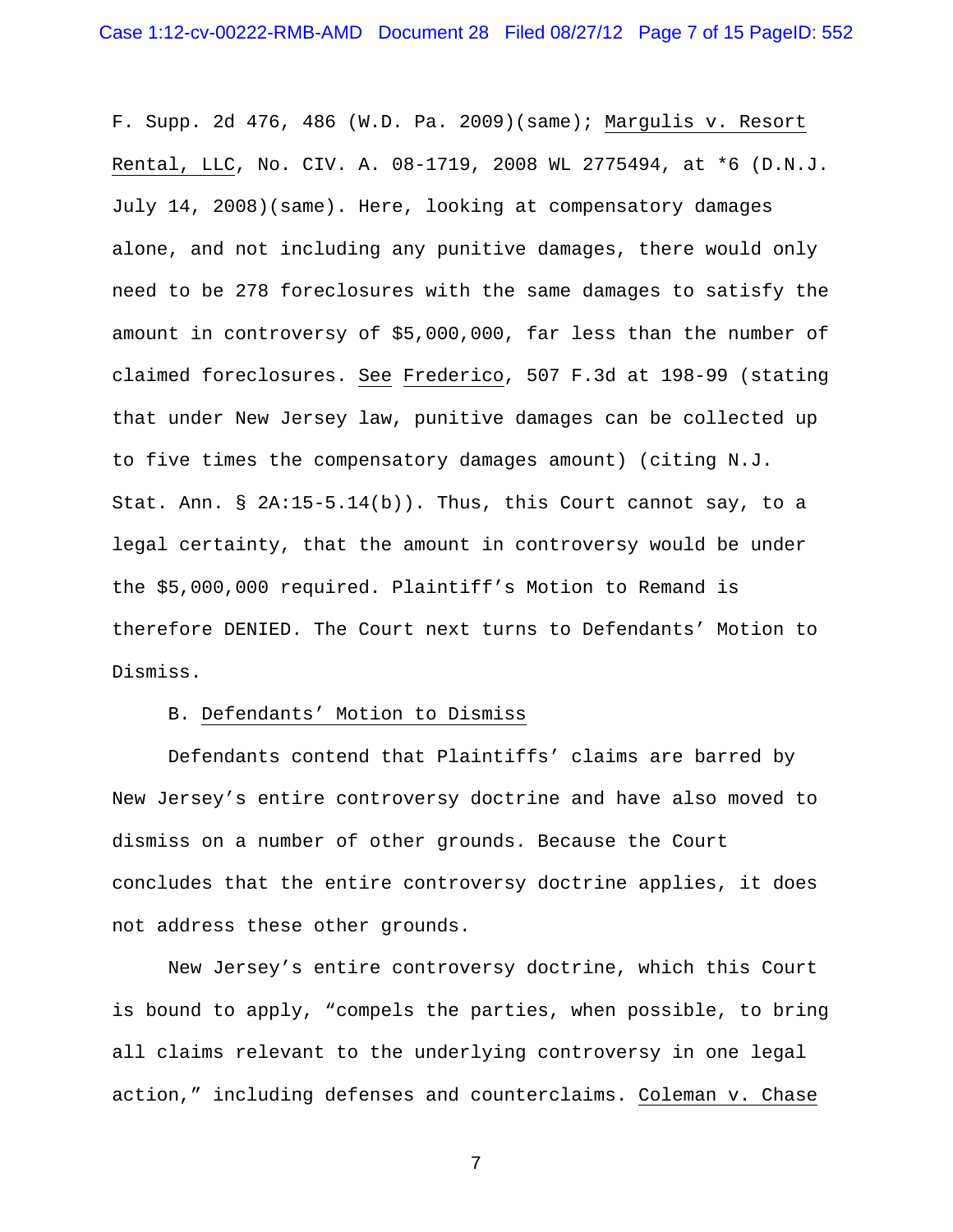F. Supp. 2d 476, 486 (W.D. Pa. 2009)(same); Margulis v. Resort Rental, LLC, No. CIV. A. 08-1719, 2008 WL 2775494, at \*6 (D.N.J. July 14, 2008)(same). Here, looking at compensatory damages alone, and not including any punitive damages, there would only need to be 278 foreclosures with the same damages to satisfy the amount in controversy of \$5,000,000, far less than the number of claimed foreclosures. See Frederico, 507 F.3d at 198-99 (stating that under New Jersey law, punitive damages can be collected up to five times the compensatory damages amount) (citing N.J. Stat. Ann. §  $2A:15-5.14(b)$ . Thus, this Court cannot say, to a legal certainty, that the amount in controversy would be under the \$5,000,000 required. Plaintiff's Motion to Remand is therefore DENIED. The Court next turns to Defendants' Motion to Dismiss.

## B. Defendants' Motion to Dismiss

Defendants contend that Plaintiffs' claims are barred by New Jersey's entire controversy doctrine and have also moved to dismiss on a number of other grounds. Because the Court concludes that the entire controversy doctrine applies, it does not address these other grounds.

New Jersey's entire controversy doctrine, which this Court is bound to apply, "compels the parties, when possible, to bring all claims relevant to the underlying controversy in one legal action," including defenses and counterclaims. Coleman v. Chase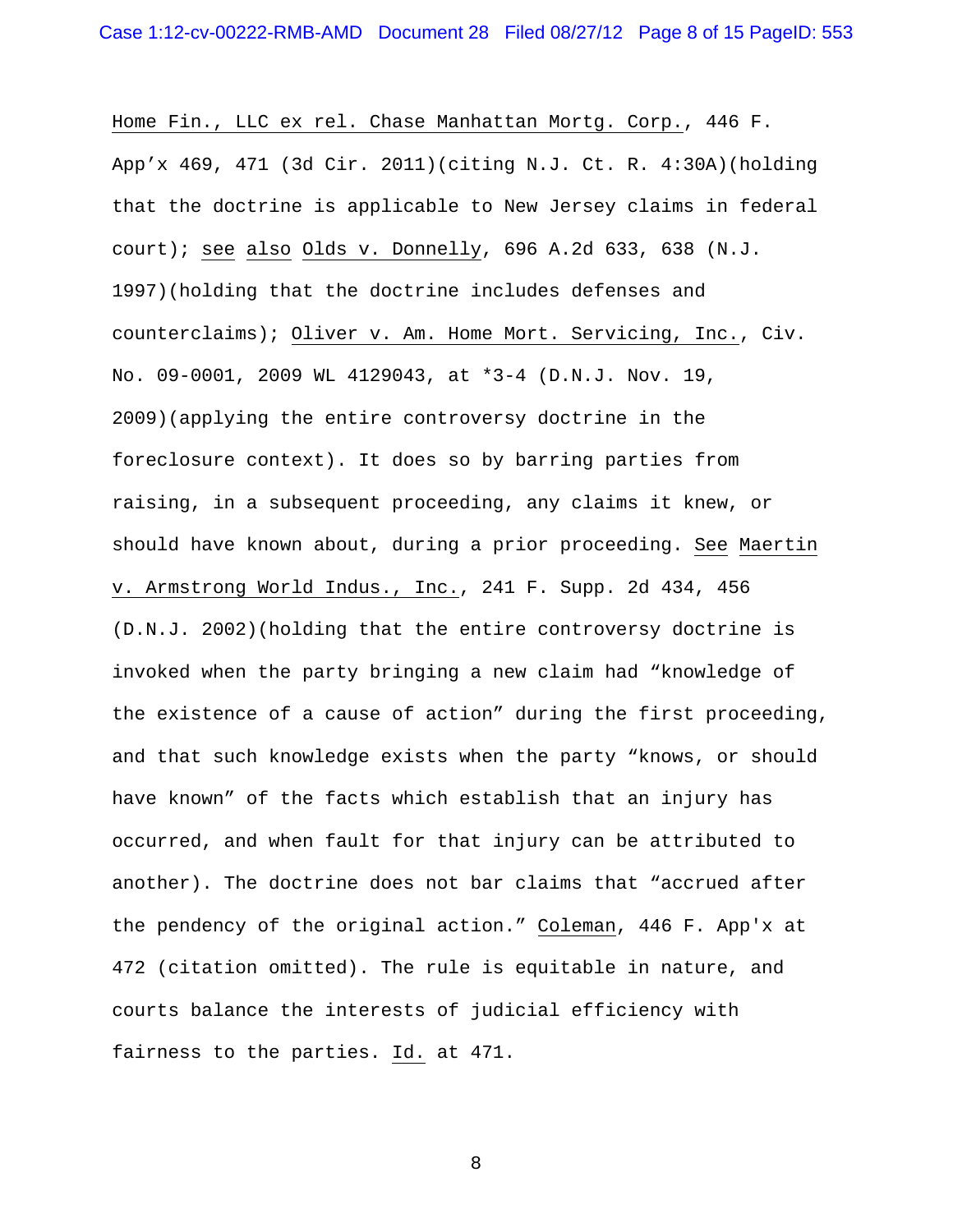Home Fin., LLC ex rel. Chase Manhattan Mortg. Corp., 446 F. App'x 469, 471 (3d Cir. 2011)(citing N.J. Ct. R. 4:30A)(holding that the doctrine is applicable to New Jersey claims in federal court); see also Olds v. Donnelly, 696 A.2d 633, 638 (N.J. 1997)(holding that the doctrine includes defenses and counterclaims); Oliver v. Am. Home Mort. Servicing, Inc., Civ. No. 09-0001, 2009 WL 4129043, at \*3-4 (D.N.J. Nov. 19, 2009)(applying the entire controversy doctrine in the foreclosure context). It does so by barring parties from raising, in a subsequent proceeding, any claims it knew, or should have known about, during a prior proceeding. See Maertin v. Armstrong World Indus., Inc., 241 F. Supp. 2d 434, 456 (D.N.J. 2002)(holding that the entire controversy doctrine is invoked when the party bringing a new claim had "knowledge of the existence of a cause of action" during the first proceeding, and that such knowledge exists when the party "knows, or should have known" of the facts which establish that an injury has occurred, and when fault for that injury can be attributed to another). The doctrine does not bar claims that "accrued after the pendency of the original action." Coleman, 446 F. App'x at 472 (citation omitted). The rule is equitable in nature, and courts balance the interests of judicial efficiency with fairness to the parties. Id. at 471.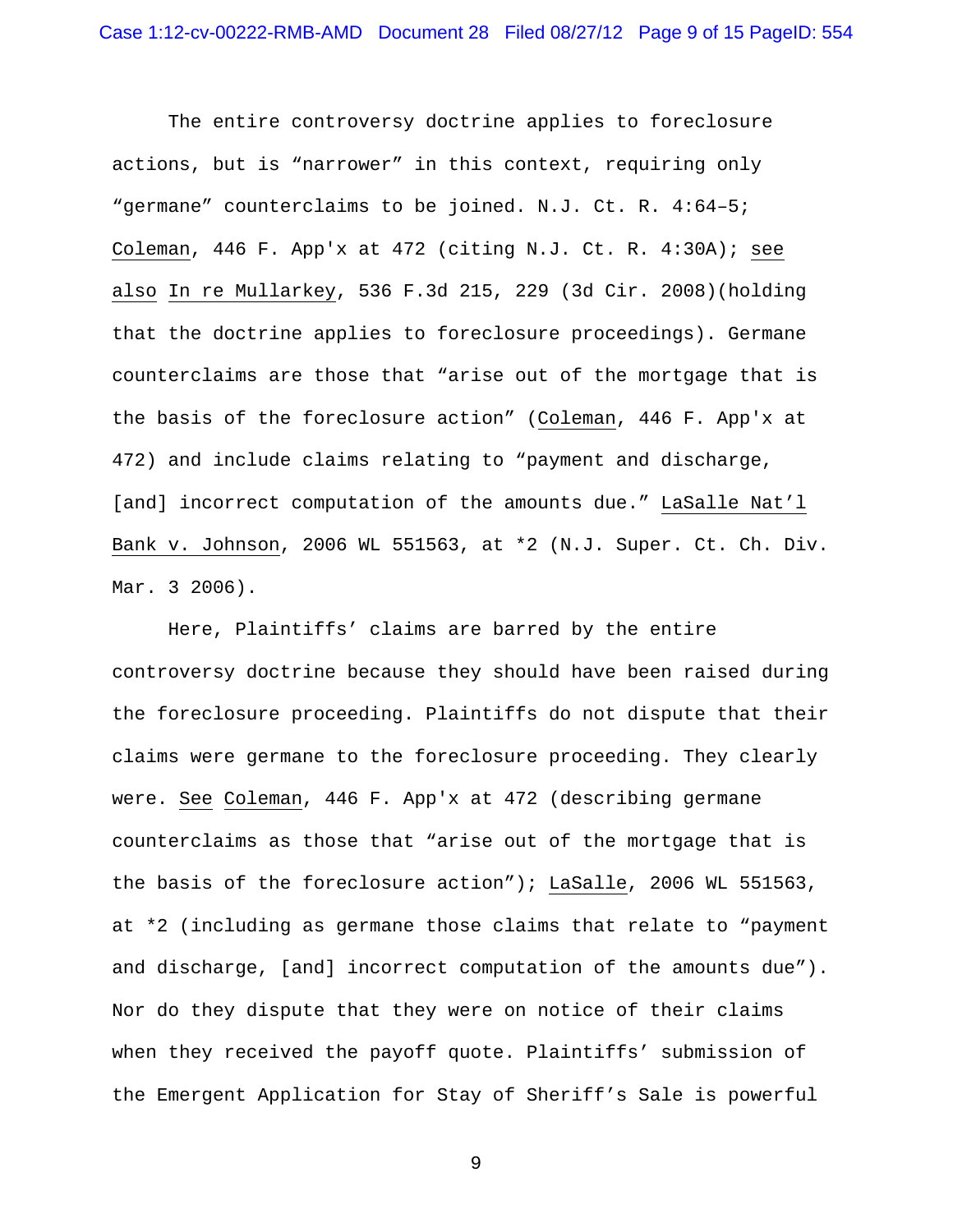The entire controversy doctrine applies to foreclosure actions, but is "narrower" in this context, requiring only "germane" counterclaims to be joined. N.J. Ct. R. 4:64–5; Coleman, 446 F. App'x at 472 (citing N.J. Ct. R. 4:30A); see also In re Mullarkey, 536 F.3d 215, 229 (3d Cir. 2008)(holding that the doctrine applies to foreclosure proceedings). Germane counterclaims are those that "arise out of the mortgage that is the basis of the foreclosure action" (Coleman, 446 F. App'x at 472) and include claims relating to "payment and discharge, [and] incorrect computation of the amounts due." LaSalle Nat'l Bank v. Johnson, 2006 WL 551563, at \*2 (N.J. Super. Ct. Ch. Div. Mar. 3 2006).

Here, Plaintiffs' claims are barred by the entire controversy doctrine because they should have been raised during the foreclosure proceeding. Plaintiffs do not dispute that their claims were germane to the foreclosure proceeding. They clearly were. See Coleman, 446 F. App'x at 472 (describing germane counterclaims as those that "arise out of the mortgage that is the basis of the foreclosure action"); LaSalle, 2006 WL 551563, at \*2 (including as germane those claims that relate to "payment and discharge, [and] incorrect computation of the amounts due"). Nor do they dispute that they were on notice of their claims when they received the payoff quote. Plaintiffs' submission of the Emergent Application for Stay of Sheriff's Sale is powerful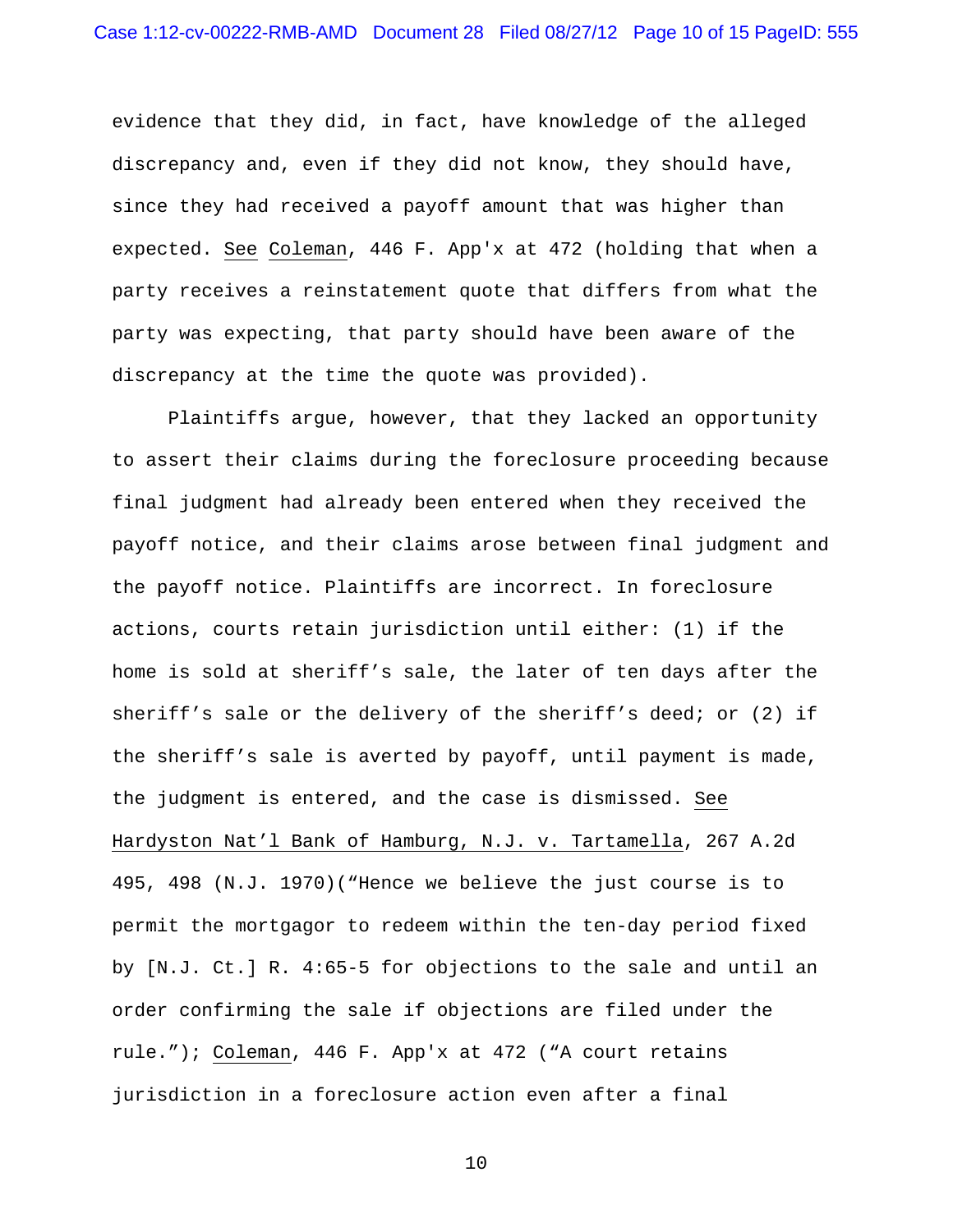evidence that they did, in fact, have knowledge of the alleged discrepancy and, even if they did not know, they should have, since they had received a payoff amount that was higher than expected. See Coleman, 446 F. App'x at 472 (holding that when a party receives a reinstatement quote that differs from what the party was expecting, that party should have been aware of the discrepancy at the time the quote was provided).

Plaintiffs argue, however, that they lacked an opportunity to assert their claims during the foreclosure proceeding because final judgment had already been entered when they received the payoff notice, and their claims arose between final judgment and the payoff notice. Plaintiffs are incorrect. In foreclosure actions, courts retain jurisdiction until either: (1) if the home is sold at sheriff's sale, the later of ten days after the sheriff's sale or the delivery of the sheriff's deed; or (2) if the sheriff's sale is averted by payoff, until payment is made, the judgment is entered, and the case is dismissed. See Hardyston Nat'l Bank of Hamburg, N.J. v. Tartamella, 267 A.2d 495, 498 (N.J. 1970)("Hence we believe the just course is to permit the mortgagor to redeem within the ten-day period fixed by [N.J. Ct.] R. 4:65-5 for objections to the sale and until an order confirming the sale if objections are filed under the rule."); Coleman, 446 F. App'x at 472 ("A court retains jurisdiction in a foreclosure action even after a final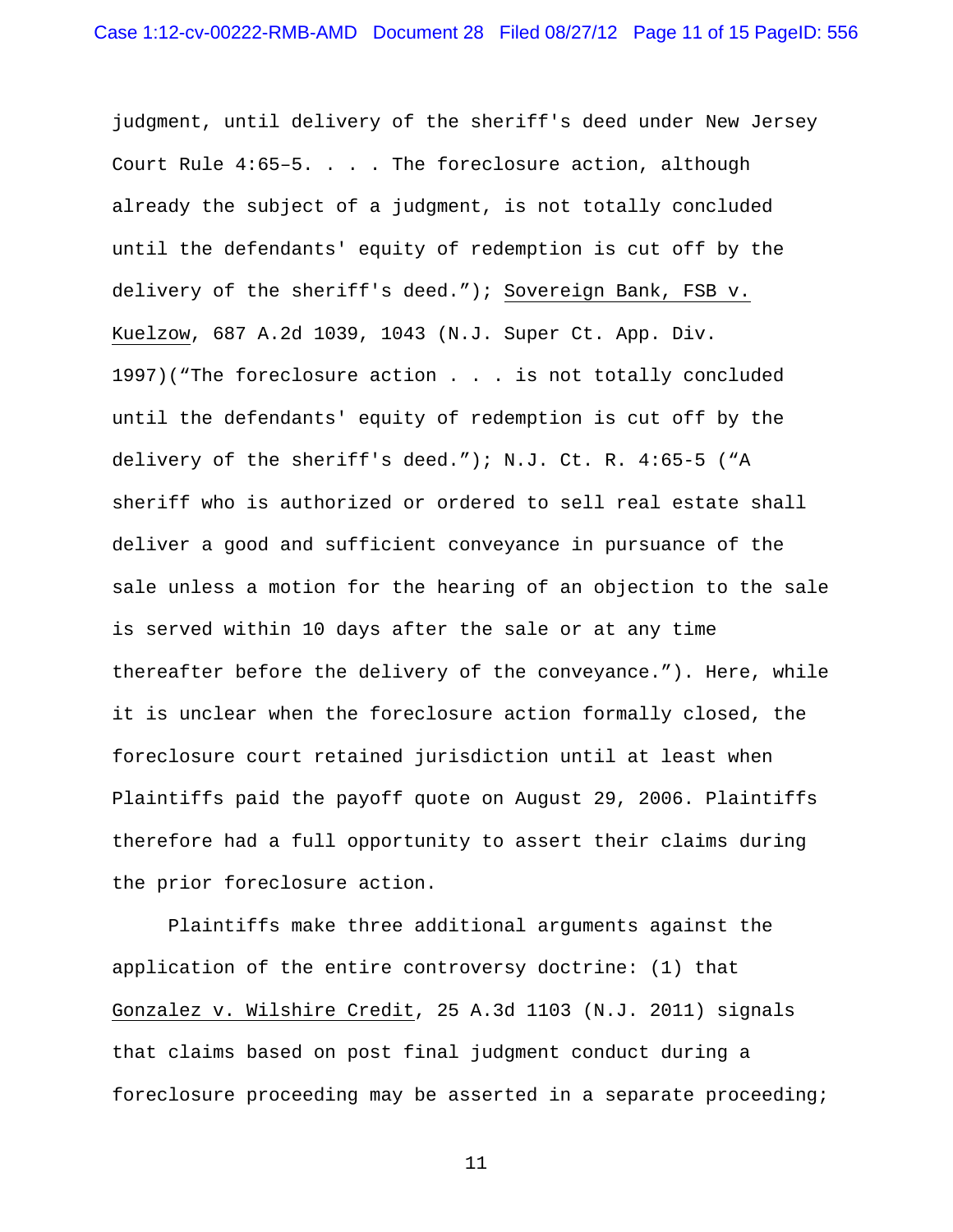judgment, until delivery of the sheriff's deed under New Jersey Court Rule 4:65–5. . . . The foreclosure action, although already the subject of a judgment, is not totally concluded until the defendants' equity of redemption is cut off by the delivery of the sheriff's deed."); Sovereign Bank, FSB v. Kuelzow, 687 A.2d 1039, 1043 (N.J. Super Ct. App. Div. 1997)("The foreclosure action . . . is not totally concluded until the defendants' equity of redemption is cut off by the delivery of the sheriff's deed."); N.J. Ct. R. 4:65-5 ("A sheriff who is authorized or ordered to sell real estate shall deliver a good and sufficient conveyance in pursuance of the sale unless a motion for the hearing of an objection to the sale is served within 10 days after the sale or at any time thereafter before the delivery of the conveyance."). Here, while it is unclear when the foreclosure action formally closed, the foreclosure court retained jurisdiction until at least when Plaintiffs paid the payoff quote on August 29, 2006. Plaintiffs therefore had a full opportunity to assert their claims during the prior foreclosure action.

Plaintiffs make three additional arguments against the application of the entire controversy doctrine: (1) that Gonzalez v. Wilshire Credit, 25 A.3d 1103 (N.J. 2011) signals that claims based on post final judgment conduct during a foreclosure proceeding may be asserted in a separate proceeding;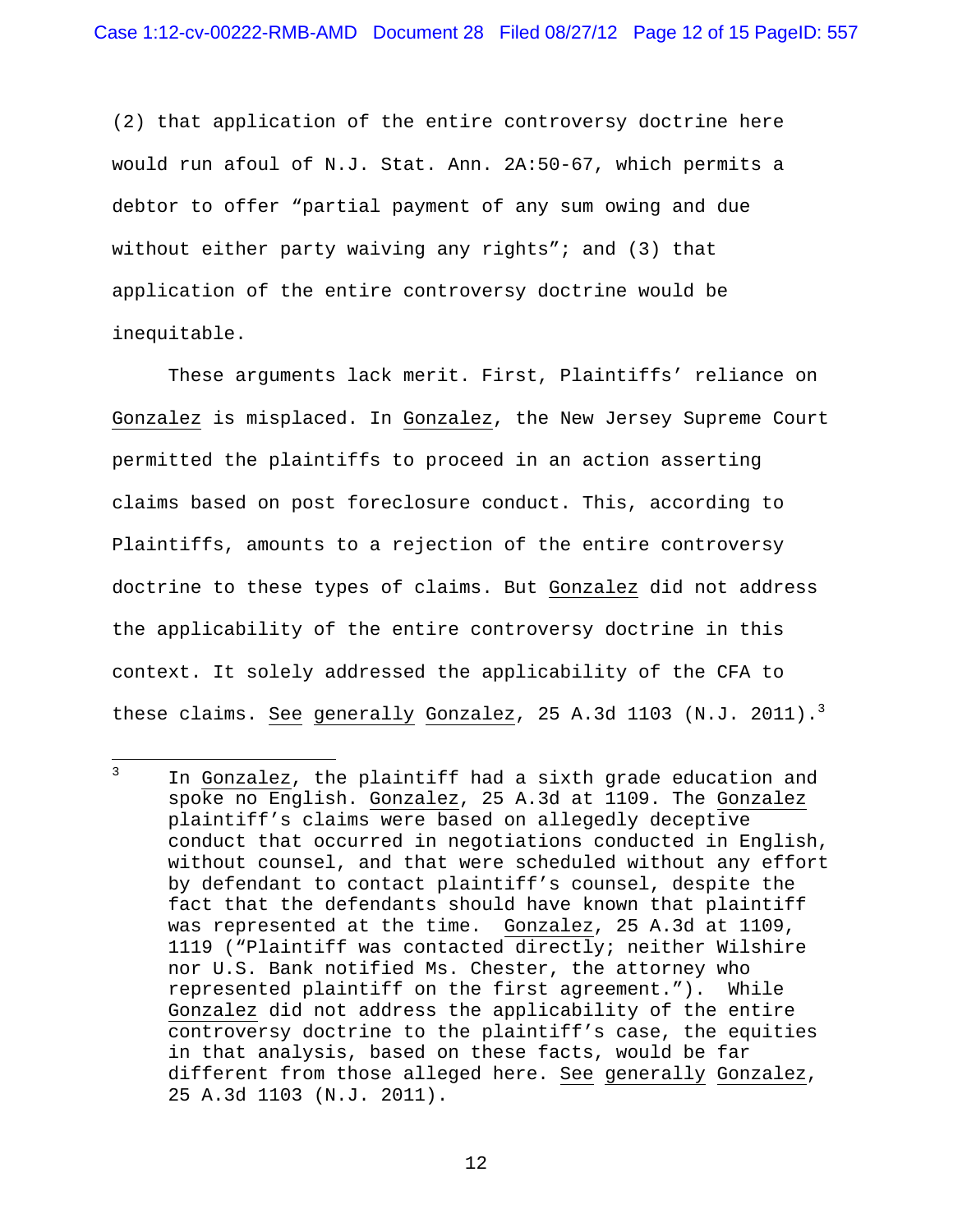(2) that application of the entire controversy doctrine here would run afoul of N.J. Stat. Ann. 2A:50-67, which permits a debtor to offer "partial payment of any sum owing and due without either party waiving any rights"; and (3) that application of the entire controversy doctrine would be inequitable.

These arguments lack merit. First, Plaintiffs' reliance on Gonzalez is misplaced. In Gonzalez, the New Jersey Supreme Court permitted the plaintiffs to proceed in an action asserting claims based on post foreclosure conduct. This, according to Plaintiffs, amounts to a rejection of the entire controversy doctrine to these types of claims. But Gonzalez did not address the applicability of the entire controversy doctrine in this context. It solely addressed the applicability of the CFA to these claims. See generally Gonzalez, 25 A.3d 1103 (N.J. 2011).<sup>3</sup>

 3 In Gonzalez, the plaintiff had a sixth grade education and spoke no English. Gonzalez, 25 A.3d at 1109. The Gonzalez plaintiff's claims were based on allegedly deceptive conduct that occurred in negotiations conducted in English, without counsel, and that were scheduled without any effort by defendant to contact plaintiff's counsel, despite the fact that the defendants should have known that plaintiff was represented at the time. Gonzalez, 25 A.3d at 1109, 1119 ("Plaintiff was contacted directly; neither Wilshire nor U.S. Bank notified Ms. Chester, the attorney who represented plaintiff on the first agreement."). While Gonzalez did not address the applicability of the entire controversy doctrine to the plaintiff's case, the equities in that analysis, based on these facts, would be far different from those alleged here. See generally Gonzalez, 25 A.3d 1103 (N.J. 2011).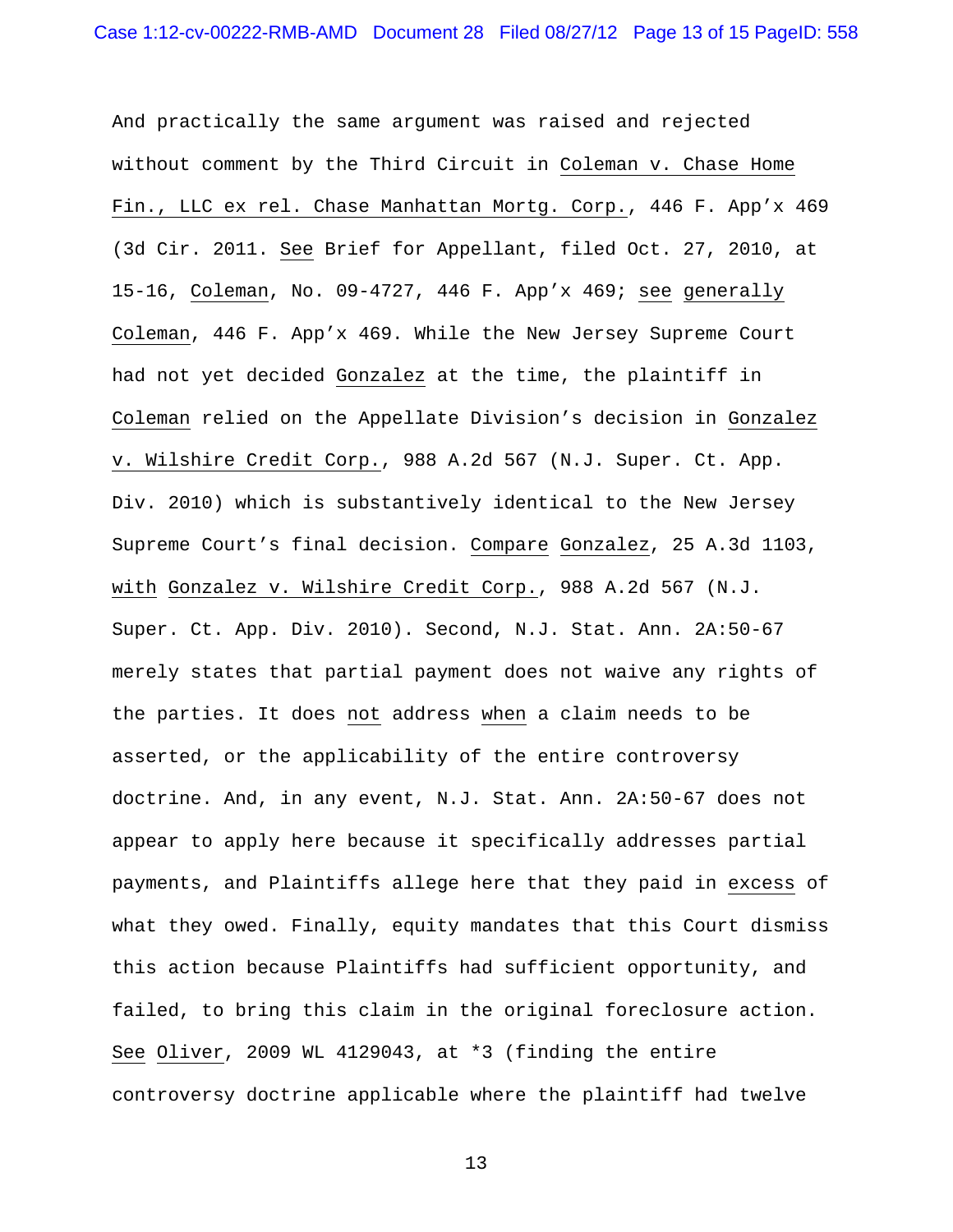And practically the same argument was raised and rejected without comment by the Third Circuit in Coleman v. Chase Home Fin., LLC ex rel. Chase Manhattan Mortg. Corp., 446 F. App'x 469 (3d Cir. 2011. See Brief for Appellant, filed Oct. 27, 2010, at 15-16, Coleman, No. 09-4727, 446 F. App'x 469; see generally Coleman, 446 F. App'x 469. While the New Jersey Supreme Court had not yet decided Gonzalez at the time, the plaintiff in Coleman relied on the Appellate Division's decision in Gonzalez v. Wilshire Credit Corp., 988 A.2d 567 (N.J. Super. Ct. App. Div. 2010) which is substantively identical to the New Jersey Supreme Court's final decision. Compare Gonzalez, 25 A.3d 1103, with Gonzalez v. Wilshire Credit Corp., 988 A.2d 567 (N.J. Super. Ct. App. Div. 2010). Second, N.J. Stat. Ann. 2A:50-67 merely states that partial payment does not waive any rights of the parties. It does not address when a claim needs to be asserted, or the applicability of the entire controversy doctrine. And, in any event, N.J. Stat. Ann. 2A:50-67 does not appear to apply here because it specifically addresses partial payments, and Plaintiffs allege here that they paid in excess of what they owed. Finally, equity mandates that this Court dismiss this action because Plaintiffs had sufficient opportunity, and failed, to bring this claim in the original foreclosure action. See Oliver, 2009 WL 4129043, at \*3 (finding the entire controversy doctrine applicable where the plaintiff had twelve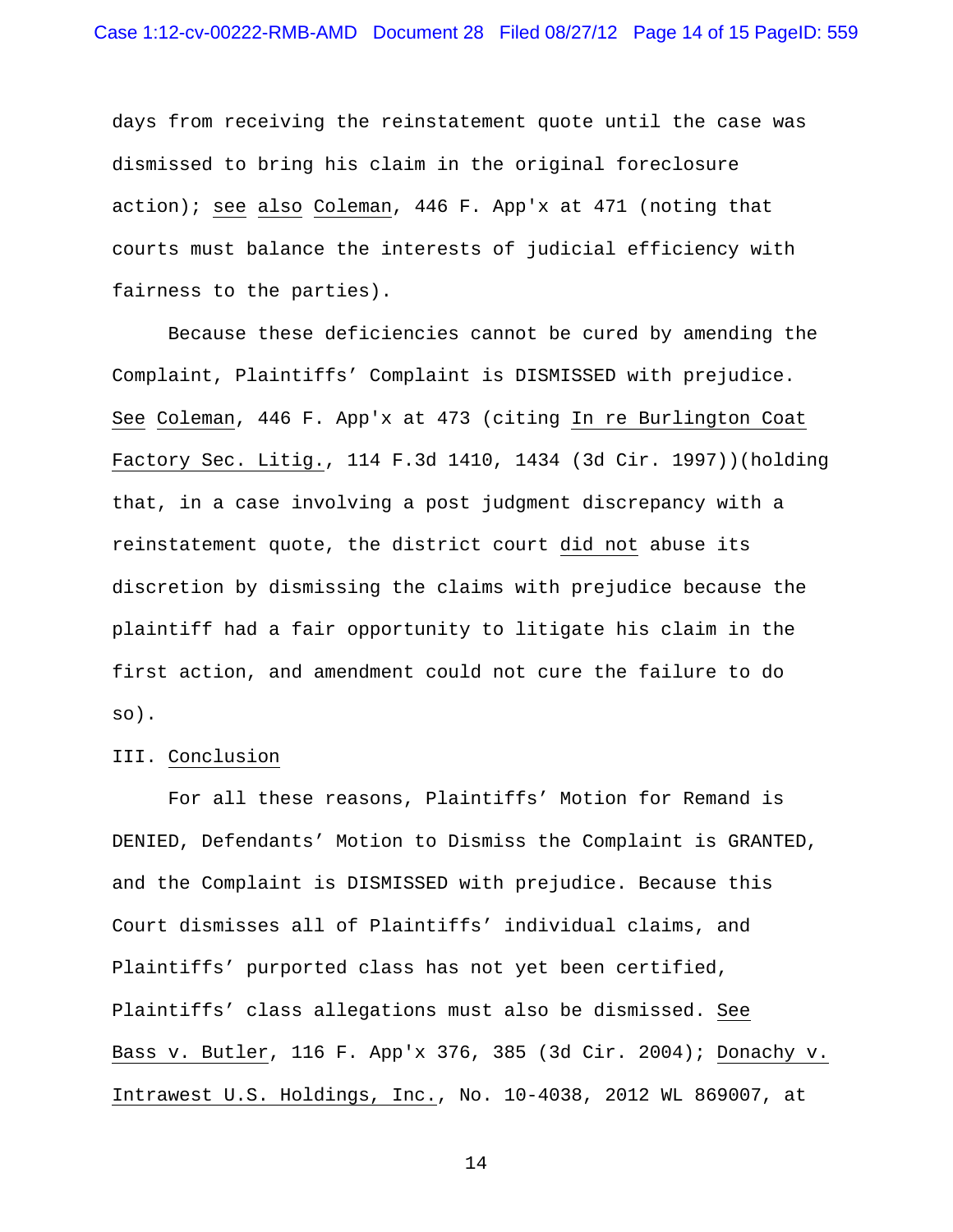days from receiving the reinstatement quote until the case was dismissed to bring his claim in the original foreclosure action); see also Coleman, 446 F. App'x at 471 (noting that courts must balance the interests of judicial efficiency with fairness to the parties).

Because these deficiencies cannot be cured by amending the Complaint, Plaintiffs' Complaint is DISMISSED with prejudice. See Coleman, 446 F. App'x at 473 (citing In re Burlington Coat Factory Sec. Litig., 114 F.3d 1410, 1434 (3d Cir. 1997))(holding that, in a case involving a post judgment discrepancy with a reinstatement quote, the district court did not abuse its discretion by dismissing the claims with prejudice because the plaintiff had a fair opportunity to litigate his claim in the first action, and amendment could not cure the failure to do so).

## III. Conclusion

 For all these reasons, Plaintiffs' Motion for Remand is DENIED, Defendants' Motion to Dismiss the Complaint is GRANTED, and the Complaint is DISMISSED with prejudice. Because this Court dismisses all of Plaintiffs' individual claims, and Plaintiffs' purported class has not yet been certified, Plaintiffs' class allegations must also be dismissed. See Bass v. Butler, 116 F. App'x 376, 385 (3d Cir. 2004); Donachy v. Intrawest U.S. Holdings, Inc., No. 10-4038, 2012 WL 869007, at